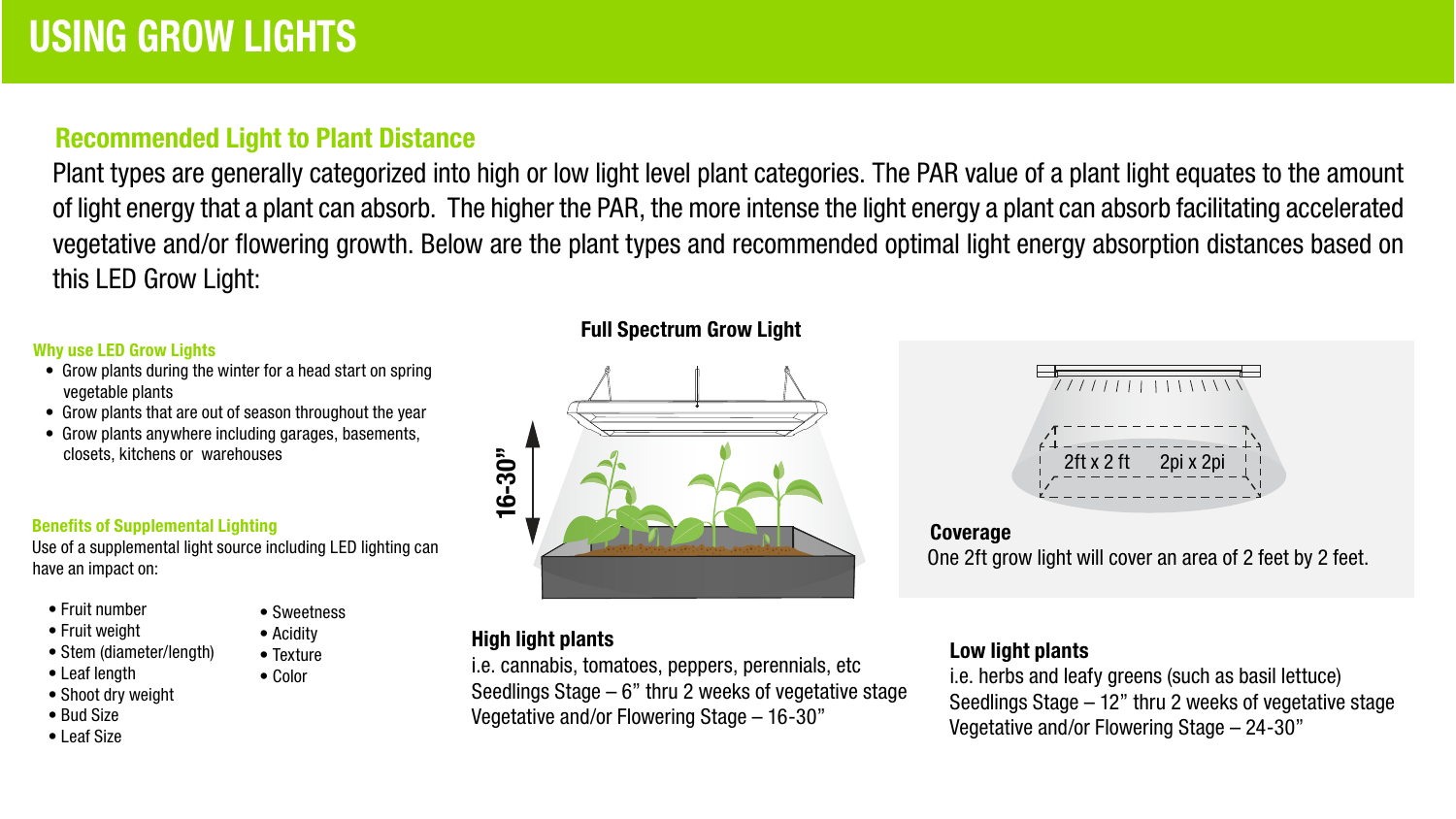# Recommended Light to Plant Distance

Plant types are generally categorized into high or low light level plant categories. The PAR value of a plant light equates to the amount of light energy that a plant can absorb. The higher the PAR, the more intense the light energy a plant can absorb facilitating accelerated vegetative and/or flowering growth. Below are the plant types and recommended optimal light energy absorption distances based on this LED Grow Light:

#### Why use LED Grow Lights

- Grow plants during the winter for a head start on spring vegetable plants
- Grow plants that are out of season throughout the year
- Grow plants anywhere including garages, basements, closets, kitchens or warehouses

#### Benefits of Supplemental Lighting

Use of a supplemental light source including LED lighting can have an impact on:

> • Sweetness • Acidity • Texture • Color

- Fruit number
- Fruit weight
- Stem (diameter/length)
- Leaf length
- Shoot dry weight
- Bud Size
- Leaf Size

#### Full Spectrum Grow Light



#### High light plants

i.e. cannabis, tomatoes, peppers, perennials, etc Seedlings Stage – 6" thru 2 weeks of vegetative stage Vegetative and/or Flowering Stage – 16-30"



### Coverage One 2ft grow light will cover an area of 2 feet by 2 feet.

#### Low light plants

i.e. herbs and leafy greens (such as basil lettuce) Seedlings Stage – 12" thru 2 weeks of vegetative stage Vegetative and/or Flowering Stage – 24-30"